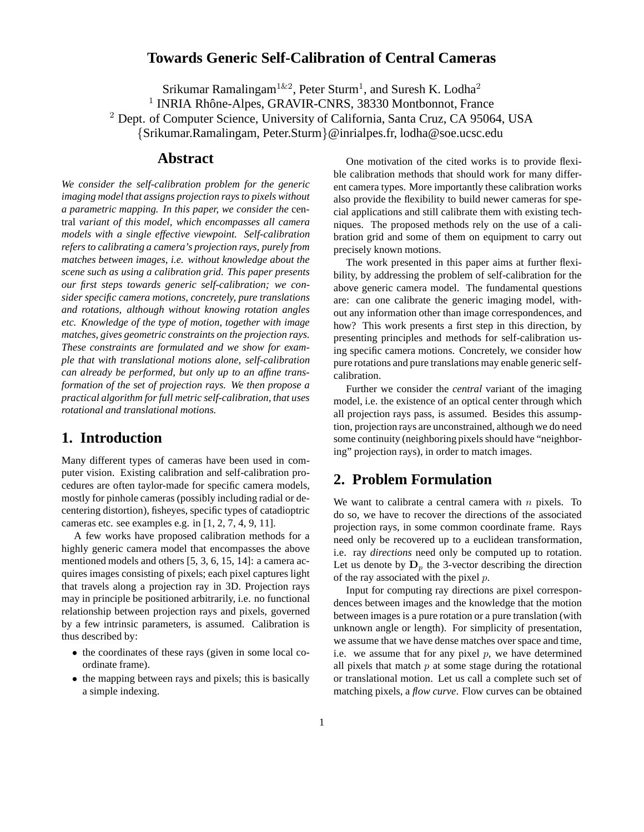## **Towards Generic Self-Calibration of Central Cameras**

Srikumar Ramalingam<sup>1&2</sup>, Peter Sturm<sup>1</sup>, and Suresh K. Lodha<sup>2</sup> <sup>1</sup> INRIA Rhône-Alpes, GRAVIR-CNRS, 38330 Montbonnot, France <sup>2</sup> Dept. of Computer Science, University of California, Santa Cruz, CA 95064, USA {Srikumar.Ramalingam, Peter.Sturm}@inrialpes.fr, lodha@soe.ucsc.edu

### **Abstract**

*We consider the self-calibration problem for the generic imaging model that assigns projection rays to pixels without a parametric mapping. In this paper, we consider the* central *variant of this model, which encompasses all camera models with a single effective viewpoint. Self-calibration refers to calibrating a camera's projection rays, purely from matches between images, i.e. without knowledge about the scene such as using a calibration grid. This paper presents our first steps towards generic self-calibration; we consider specific camera motions, concretely, pure translations and rotations, although without knowing rotation angles etc. Knowledge of the type of motion, together with image matches, gives geometric constraints on the projection rays. These constraints are formulated and we show for example that with translational motions alone, self-calibration can already be performed, but only up to an affine transformation of the set of projection rays. We then propose a practical algorithm for full metric self-calibration, that uses rotational and translational motions.*

# **1. Introduction**

Many different types of cameras have been used in computer vision. Existing calibration and self-calibration procedures are often taylor-made for specific camera models, mostly for pinhole cameras (possibly including radial or decentering distortion), fisheyes, specific types of catadioptric cameras etc. see examples e.g. in [1, 2, 7, 4, 9, 11].

A few works have proposed calibration methods for a highly generic camera model that encompasses the above mentioned models and others [5, 3, 6, 15, 14]: a camera acquires images consisting of pixels; each pixel captures light that travels along a projection ray in 3D. Projection rays may in principle be positioned arbitrarily, i.e. no functional relationship between projection rays and pixels, governed by a few intrinsic parameters, is assumed. Calibration is thus described by:

- the coordinates of these rays (given in some local coordinate frame).
- the mapping between rays and pixels; this is basically a simple indexing.

One motivation of the cited works is to provide flexible calibration methods that should work for many different camera types. More importantly these calibration works also provide the flexibility to build newer cameras for special applications and still calibrate them with existing techniques. The proposed methods rely on the use of a calibration grid and some of them on equipment to carry out precisely known motions.

The work presented in this paper aims at further flexibility, by addressing the problem of self-calibration for the above generic camera model. The fundamental questions are: can one calibrate the generic imaging model, without any information other than image correspondences, and how? This work presents a first step in this direction, by presenting principles and methods for self-calibration using specific camera motions. Concretely, we consider how pure rotations and pure translations may enable generic selfcalibration.

Further we consider the *central* variant of the imaging model, i.e. the existence of an optical center through which all projection rays pass, is assumed. Besides this assumption, projection rays are unconstrained, although we do need some continuity (neighboring pixels should have "neighboring" projection rays), in order to match images.

## **2. Problem Formulation**

We want to calibrate a central camera with  $n$  pixels. To do so, we have to recover the directions of the associated projection rays, in some common coordinate frame. Rays need only be recovered up to a euclidean transformation, i.e. ray *directions* need only be computed up to rotation. Let us denote by  $D_n$  the 3-vector describing the direction of the ray associated with the pixel  $p$ .

Input for computing ray directions are pixel correspondences between images and the knowledge that the motion between images is a pure rotation or a pure translation (with unknown angle or length). For simplicity of presentation, we assume that we have dense matches over space and time, i.e. we assume that for any pixel  $p$ , we have determined all pixels that match  $p$  at some stage during the rotational or translational motion. Let us call a complete such set of matching pixels, a *flow curve*. Flow curves can be obtained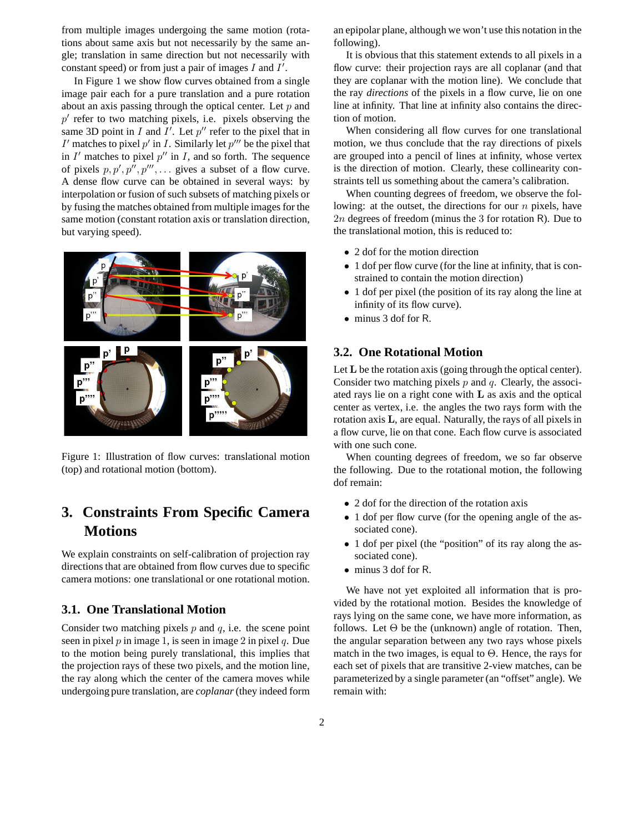from multiple images undergoing the same motion (rotations about same axis but not necessarily by the same angle; translation in same direction but not necessarily with constant speed) or from just a pair of images  $I$  and  $I'$ .

In Figure 1 we show flow curves obtained from a single image pair each for a pure translation and a pure rotation about an axis passing through the optical center. Let  $p$  and  $p'$  refer to two matching pixels, i.e. pixels observing the same 3D point in  $I$  and  $I'$ . Let  $p''$  refer to the pixel that in I' matches to pixel  $p'$  in I. Similarly let  $p'''$  be the pixel that in  $I'$  matches to pixel  $p''$  in  $I$ , and so forth. The sequence of pixels  $p, p', p'', p''', \ldots$  gives a subset of a flow curve. A dense flow curve can be obtained in several ways: by interpolation or fusion of such subsets of matching pixels or by fusing the matches obtained from multiple images for the same motion (constant rotation axis or translation direction, but varying speed).



Figure 1: Illustration of flow curves: translational motion (top) and rotational motion (bottom).

# **3. Constraints From Specific Camera Motions**

We explain constraints on self-calibration of projection ray directions that are obtained from flow curves due to specific camera motions: one translational or one rotational motion.

### **3.1. One Translational Motion**

Consider two matching pixels  $p$  and  $q$ , i.e. the scene point seen in pixel  $p$  in image 1, is seen in image 2 in pixel  $q$ . Due to the motion being purely translational, this implies that the projection rays of these two pixels, and the motion line, the ray along which the center of the camera moves while undergoing pure translation, are *coplanar*(they indeed form

an epipolar plane, although we won't use this notation in the following).

It is obvious that this statement extends to all pixels in a flow curve: their projection rays are all coplanar (and that they are coplanar with the motion line). We conclude that the ray *directions* of the pixels in a flow curve, lie on one line at infinity. That line at infinity also contains the direction of motion.

When considering all flow curves for one translational motion, we thus conclude that the ray directions of pixels are grouped into a pencil of lines at infinity, whose vertex is the direction of motion. Clearly, these collinearity constraints tell us something about the camera's calibration.

When counting degrees of freedom, we observe the following: at the outset, the directions for our  $n$  pixels, have 2n degrees of freedom (minus the 3 for rotation R). Due to the translational motion, this is reduced to:

- 2 dof for the motion direction
- 1 dof per flow curve (for the line at infinity, that is constrained to contain the motion direction)
- 1 dof per pixel (the position of its ray along the line at infinity of its flow curve).
- minus 3 dof for R.

### **3.2. One Rotational Motion**

Let **L** be the rotation axis (going through the optical center). Consider two matching pixels  $p$  and  $q$ . Clearly, the associated rays lie on a right cone with L as axis and the optical center as vertex, i.e. the angles the two rays form with the rotation axis L, are equal. Naturally, the rays of all pixels in a flow curve, lie on that cone. Each flow curve is associated with one such cone.

When counting degrees of freedom, we so far observe the following. Due to the rotational motion, the following dof remain:

- 2 dof for the direction of the rotation axis
- 1 dof per flow curve (for the opening angle of the associated cone).
- 1 dof per pixel (the "position" of its ray along the associated cone).
- minus 3 dof for R.

We have not yet exploited all information that is provided by the rotational motion. Besides the knowledge of rays lying on the same cone, we have more information, as follows. Let  $\Theta$  be the (unknown) angle of rotation. Then, the angular separation between any two rays whose pixels match in the two images, is equal to  $\Theta$ . Hence, the rays for each set of pixels that are transitive 2-view matches, can be parameterized by a single parameter (an "offset" angle). We remain with: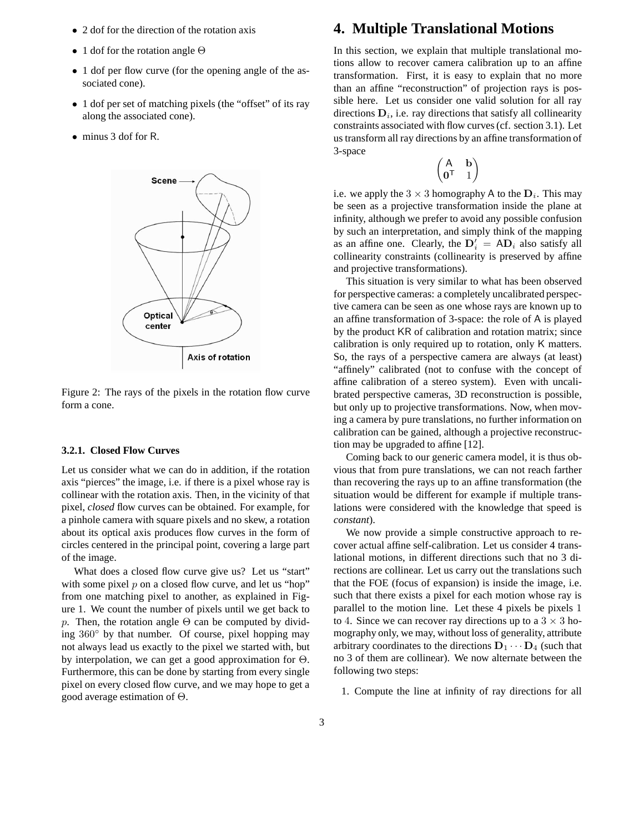- 2 dof for the direction of the rotation axis
- 1 dof for the rotation angle  $\Theta$
- 1 dof per flow curve (for the opening angle of the associated cone).
- 1 dof per set of matching pixels (the "offset" of its ray along the associated cone).
- minus 3 dof for R.



Figure 2: The rays of the pixels in the rotation flow curve form a cone.

#### **3.2.1. Closed Flow Curves**

Let us consider what we can do in addition, if the rotation axis "pierces" the image, i.e. if there is a pixel whose ray is collinear with the rotation axis. Then, in the vicinity of that pixel, *closed* flow curves can be obtained. For example, for a pinhole camera with square pixels and no skew, a rotation about its optical axis produces flow curves in the form of circles centered in the principal point, covering a large part of the image.

What does a closed flow curve give us? Let us "start" with some pixel  $p$  on a closed flow curve, and let us "hop" from one matching pixel to another, as explained in Figure 1. We count the number of pixels until we get back to p. Then, the rotation angle  $\Theta$  can be computed by dividing 360◦ by that number. Of course, pixel hopping may not always lead us exactly to the pixel we started with, but by interpolation, we can get a good approximation for Θ. Furthermore, this can be done by starting from every single pixel on every closed flow curve, and we may hope to get a good average estimation of Θ.

### **4. Multiple Translational Motions**

In this section, we explain that multiple translational motions allow to recover camera calibration up to an affine transformation. First, it is easy to explain that no more than an affine "reconstruction" of projection rays is possible here. Let us consider one valid solution for all ray directions  $D_i$ , i.e. ray directions that satisfy all collinearity constraints associated with flow curves(cf. section 3.1). Let us transform all ray directions by an affine transformation of 3-space

$$
\begin{pmatrix} A & \mathbf{b} \\ \mathbf{0}^{\mathsf{T}} & 1 \end{pmatrix}
$$

i.e. we apply the  $3 \times 3$  homography A to the  $D_i$ . This may be seen as a projective transformation inside the plane at infinity, although we prefer to avoid any possible confusion by such an interpretation, and simply think of the mapping as an affine one. Clearly, the  $D_i' = AD_i$  also satisfy all collinearity constraints (collinearity is preserved by affine and projective transformations).

This situation is very similar to what has been observed for perspective cameras: a completely uncalibrated perspective camera can be seen as one whose rays are known up to an affine transformation of 3-space: the role of A is played by the product KR of calibration and rotation matrix; since calibration is only required up to rotation, only K matters. So, the rays of a perspective camera are always (at least) "affinely" calibrated (not to confuse with the concept of affine calibration of a stereo system). Even with uncalibrated perspective cameras, 3D reconstruction is possible, but only up to projective transformations. Now, when moving a camera by pure translations, no further information on calibration can be gained, although a projective reconstruction may be upgraded to affine [12].

Coming back to our generic camera model, it is thus obvious that from pure translations, we can not reach farther than recovering the rays up to an affine transformation (the situation would be different for example if multiple translations were considered with the knowledge that speed is *constant*).

We now provide a simple constructive approach to recover actual affine self-calibration. Let us consider 4 translational motions, in different directions such that no 3 directions are collinear. Let us carry out the translations such that the FOE (focus of expansion) is inside the image, i.e. such that there exists a pixel for each motion whose ray is parallel to the motion line. Let these 4 pixels be pixels 1 to 4. Since we can recover ray directions up to a  $3 \times 3$  homography only, we may, without loss of generality, attribute arbitrary coordinates to the directions  $D_1 \cdots D_4$  (such that no 3 of them are collinear). We now alternate between the following two steps:

1. Compute the line at infinity of ray directions for all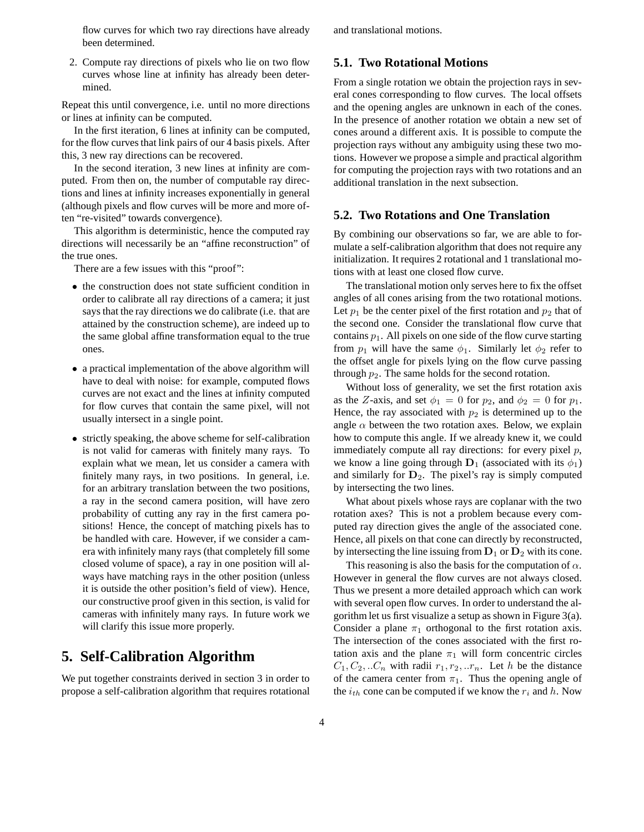flow curves for which two ray directions have already been determined.

2. Compute ray directions of pixels who lie on two flow curves whose line at infinity has already been determined.

Repeat this until convergence, i.e. until no more directions or lines at infinity can be computed.

In the first iteration, 6 lines at infinity can be computed, for the flow curves that link pairs of our 4 basis pixels. After this, 3 new ray directions can be recovered.

In the second iteration, 3 new lines at infinity are computed. From then on, the number of computable ray directions and lines at infinity increases exponentially in general (although pixels and flow curves will be more and more often "re-visited" towards convergence).

This algorithm is deterministic, hence the computed ray directions will necessarily be an "affine reconstruction" of the true ones.

There are a few issues with this "proof":

- the construction does not state sufficient condition in order to calibrate all ray directions of a camera; it just says that the ray directions we do calibrate (i.e. that are attained by the construction scheme), are indeed up to the same global affine transformation equal to the true ones.
- a practical implementation of the above algorithm will have to deal with noise: for example, computed flows curves are not exact and the lines at infinity computed for flow curves that contain the same pixel, will not usually intersect in a single point.
- strictly speaking, the above scheme for self-calibration is not valid for cameras with finitely many rays. To explain what we mean, let us consider a camera with finitely many rays, in two positions. In general, i.e. for an arbitrary translation between the two positions, a ray in the second camera position, will have zero probability of cutting any ray in the first camera positions! Hence, the concept of matching pixels has to be handled with care. However, if we consider a camera with infinitely many rays (that completely fill some closed volume of space), a ray in one position will always have matching rays in the other position (unless it is outside the other position's field of view). Hence, our constructive proof given in this section, is valid for cameras with infinitely many rays. In future work we will clarify this issue more properly.

# **5. Self-Calibration Algorithm**

We put together constraints derived in section 3 in order to propose a self-calibration algorithm that requires rotational and translational motions.

#### **5.1. Two Rotational Motions**

From a single rotation we obtain the projection rays in several cones corresponding to flow curves. The local offsets and the opening angles are unknown in each of the cones. In the presence of another rotation we obtain a new set of cones around a different axis. It is possible to compute the projection rays without any ambiguity using these two motions. However we propose a simple and practical algorithm for computing the projection rays with two rotations and an additional translation in the next subsection.

#### **5.2. Two Rotations and One Translation**

By combining our observations so far, we are able to formulate a self-calibration algorithm that does not require any initialization. It requires 2 rotational and 1 translational motions with at least one closed flow curve.

The translational motion only serves here to fix the offset angles of all cones arising from the two rotational motions. Let  $p_1$  be the center pixel of the first rotation and  $p_2$  that of the second one. Consider the translational flow curve that contains  $p_1$ . All pixels on one side of the flow curve starting from  $p_1$  will have the same  $\phi_1$ . Similarly let  $\phi_2$  refer to the offset angle for pixels lying on the flow curve passing through  $p_2$ . The same holds for the second rotation.

Without loss of generality, we set the first rotation axis as the Z-axis, and set  $\phi_1 = 0$  for  $p_2$ , and  $\phi_2 = 0$  for  $p_1$ . Hence, the ray associated with  $p_2$  is determined up to the angle  $\alpha$  between the two rotation axes. Below, we explain how to compute this angle. If we already knew it, we could immediately compute all ray directions: for every pixel  $p$ , we know a line going through  $D_1$  (associated with its  $\phi_1$ ) and similarly for  $D_2$ . The pixel's ray is simply computed by intersecting the two lines.

What about pixels whose rays are coplanar with the two rotation axes? This is not a problem because every computed ray direction gives the angle of the associated cone. Hence, all pixels on that cone can directly by reconstructed, by intersecting the line issuing from  $D_1$  or  $D_2$  with its cone.

This reasoning is also the basis for the computation of  $\alpha$ . However in general the flow curves are not always closed. Thus we present a more detailed approach which can work with several open flow curves. In order to understand the algorithm let us first visualize a setup as shown in Figure 3(a). Consider a plane  $\pi_1$  orthogonal to the first rotation axis. The intersection of the cones associated with the first rotation axis and the plane  $\pi_1$  will form concentric circles  $C_1, C_2, ... C_n$  with radii  $r_1, r_2, ... r_n$ . Let h be the distance of the camera center from  $\pi_1$ . Thus the opening angle of the  $i_{th}$  cone can be computed if we know the  $r_i$  and h. Now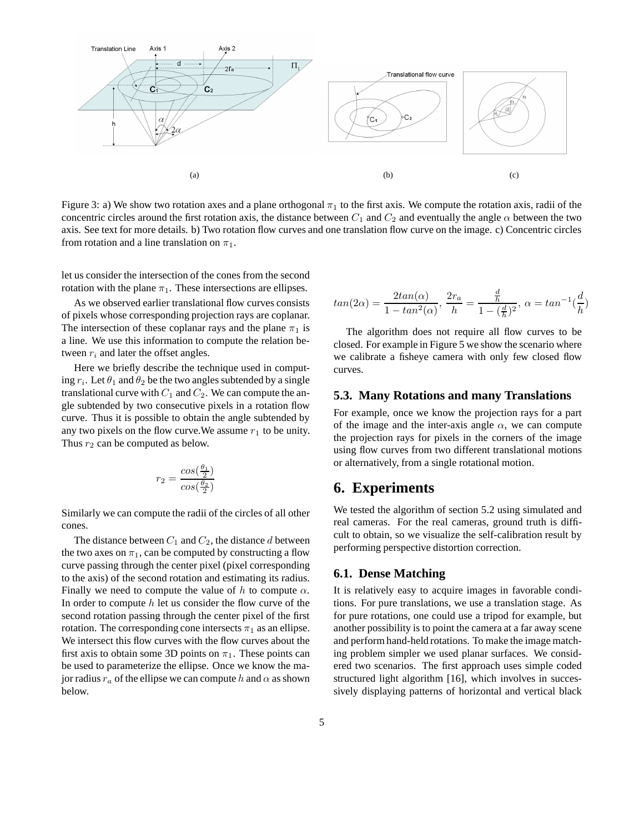

Figure 3: a) We show two rotation axes and a plane orthogonal  $\pi_1$  to the first axis. We compute the rotation axis, radii of the concentric circles around the first rotation axis, the distance between  $C_1$  and  $C_2$  and eventually the angle  $\alpha$  between the two axis. See text for more details. b) Two rotation flow curves and one translation flow curve on the image. c) Concentric circles from rotation and a line translation on  $\pi_1$ .

let us consider the intersection of the cones from the second rotation with the plane  $\pi_1$ . These intersections are ellipses.

As we observed earlier translational flow curves consists of pixels whose corresponding projection rays are coplanar. The intersection of these coplanar rays and the plane  $\pi_1$  is a line. We use this information to compute the relation between  $r_i$  and later the offset angles.

Here we briefly describe the technique used in computing  $r_i$ . Let  $\theta_1$  and  $\theta_2$  be the two angles subtended by a single translational curve with  $C_1$  and  $C_2$ . We can compute the angle subtended by two consecutive pixels in a rotation flow curve. Thus it is possible to obtain the angle subtended by any two pixels on the flow curve. We assume  $r_1$  to be unity. Thus  $r_2$  can be computed as below.

$$
r_2 = \frac{\cos(\frac{\theta_1}{2})}{\cos(\frac{\theta_2}{2})}
$$

Similarly we can compute the radii of the circles of all other cones.

The distance between  $C_1$  and  $C_2$ , the distance d between the two axes on  $\pi_1$ , can be computed by constructing a flow curve passing through the center pixel (pixel corresponding to the axis) of the second rotation and estimating its radius. Finally we need to compute the value of h to compute  $\alpha$ . In order to compute  $h$  let us consider the flow curve of the second rotation passing through the center pixel of the first rotation. The corresponding cone intersects  $\pi_1$  as an ellipse. We intersect this flow curves with the flow curves about the first axis to obtain some 3D points on  $\pi_1$ . These points can be used to parameterize the ellipse. Once we know the major radius  $r_a$  of the ellipse we can compute h and  $\alpha$  as shown below.

$$
tan(2\alpha) = \frac{2tan(\alpha)}{1 - tan^2(\alpha)}, \frac{2r_a}{h} = \frac{\frac{d}{h}}{1 - (\frac{d}{h})^2}, \ \alpha = tan^{-1}(\frac{d}{h})
$$

The algorithm does not require all flow curves to be closed. For example in Figure 5 we show the scenario where we calibrate a fisheye camera with only few closed flow curves.

#### **5.3. Many Rotations and many Translations**

For example, once we know the projection rays for a part of the image and the inter-axis angle  $\alpha$ , we can compute the projection rays for pixels in the corners of the image using flow curves from two different translational motions or alternatively, from a single rotational motion.

### **6. Experiments**

We tested the algorithm of section 5.2 using simulated and real cameras. For the real cameras, ground truth is difficult to obtain, so we visualize the self-calibration result by performing perspective distortion correction.

#### **6.1. Dense Matching**

It is relatively easy to acquire images in favorable conditions. For pure translations, we use a translation stage. As for pure rotations, one could use a tripod for example, but another possibility is to point the camera at a far away scene and perform hand-held rotations. To make the image matching problem simpler we used planar surfaces. We considered two scenarios. The first approach uses simple coded structured light algorithm [16], which involves in successively displaying patterns of horizontal and vertical black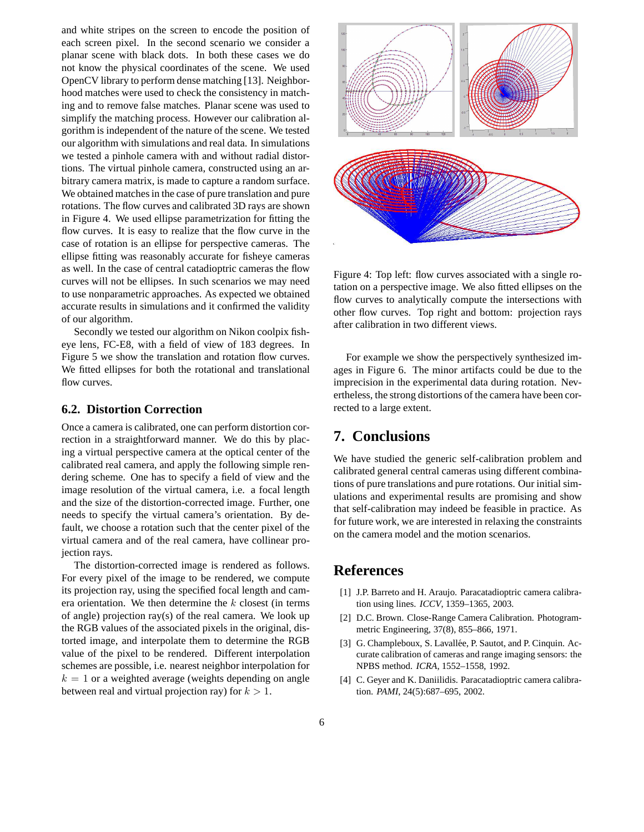and white stripes on the screen to encode the position of each screen pixel. In the second scenario we consider a planar scene with black dots. In both these cases we do not know the physical coordinates of the scene. We used OpenCV library to perform dense matching [13]. Neighborhood matches were used to check the consistency in matching and to remove false matches. Planar scene was used to simplify the matching process. However our calibration algorithm is independent of the nature of the scene. We tested our algorithm with simulations and real data. In simulations we tested a pinhole camera with and without radial distortions. The virtual pinhole camera, constructed using an arbitrary camera matrix, is made to capture a random surface. We obtained matches in the case of pure translation and pure rotations. The flow curves and calibrated 3D rays are shown in Figure 4. We used ellipse parametrization for fitting the flow curves. It is easy to realize that the flow curve in the case of rotation is an ellipse for perspective cameras. The ellipse fitting was reasonably accurate for fisheye cameras as well. In the case of central catadioptric cameras the flow curves will not be ellipses. In such scenarios we may need to use nonparametric approaches. As expected we obtained accurate results in simulations and it confirmed the validity of our algorithm.

Secondly we tested our algorithm on Nikon coolpix fisheye lens, FC-E8, with a field of view of 183 degrees. In Figure 5 we show the translation and rotation flow curves. We fitted ellipses for both the rotational and translational flow curves.

#### **6.2. Distortion Correction**

Once a camera is calibrated, one can perform distortion correction in a straightforward manner. We do this by placing a virtual perspective camera at the optical center of the calibrated real camera, and apply the following simple rendering scheme. One has to specify a field of view and the image resolution of the virtual camera, i.e. a focal length and the size of the distortion-corrected image. Further, one needs to specify the virtual camera's orientation. By default, we choose a rotation such that the center pixel of the virtual camera and of the real camera, have collinear projection rays.

The distortion-corrected image is rendered as follows. For every pixel of the image to be rendered, we compute its projection ray, using the specified focal length and camera orientation. We then determine the  $k$  closest (in terms of angle) projection ray(s) of the real camera. We look up the RGB values of the associated pixels in the original, distorted image, and interpolate them to determine the RGB value of the pixel to be rendered. Different interpolation schemes are possible, i.e. nearest neighbor interpolation for  $k = 1$  or a weighted average (weights depending on angle between real and virtual projection ray) for  $k > 1$ .



Figure 4: Top left: flow curves associated with a single rotation on a perspective image. We also fitted ellipses on the flow curves to analytically compute the intersections with other flow curves. Top right and bottom: projection rays after calibration in two different views.

For example we show the perspectively synthesized images in Figure 6. The minor artifacts could be due to the imprecision in the experimental data during rotation. Nevertheless, the strong distortions of the camera have been corrected to a large extent.

## **7. Conclusions**

We have studied the generic self-calibration problem and calibrated general central cameras using different combinations of pure translations and pure rotations. Our initial simulations and experimental results are promising and show that self-calibration may indeed be feasible in practice. As for future work, we are interested in relaxing the constraints on the camera model and the motion scenarios.

## **References**

- [1] J.P. Barreto and H. Araujo. Paracatadioptric camera calibration using lines. *ICCV*, 1359–1365, 2003.
- [2] D.C. Brown. Close-Range Camera Calibration. Photogrammetric Engineering, 37(8), 855–866, 1971.
- [3] G. Champleboux, S. Lavallée, P. Sautot, and P. Cinquin. Accurate calibration of cameras and range imaging sensors: the NPBS method. *ICRA*, 1552–1558, 1992.
- [4] C. Geyer and K. Daniilidis. Paracatadioptric camera calibration. *PAMI*, 24(5):687–695, 2002.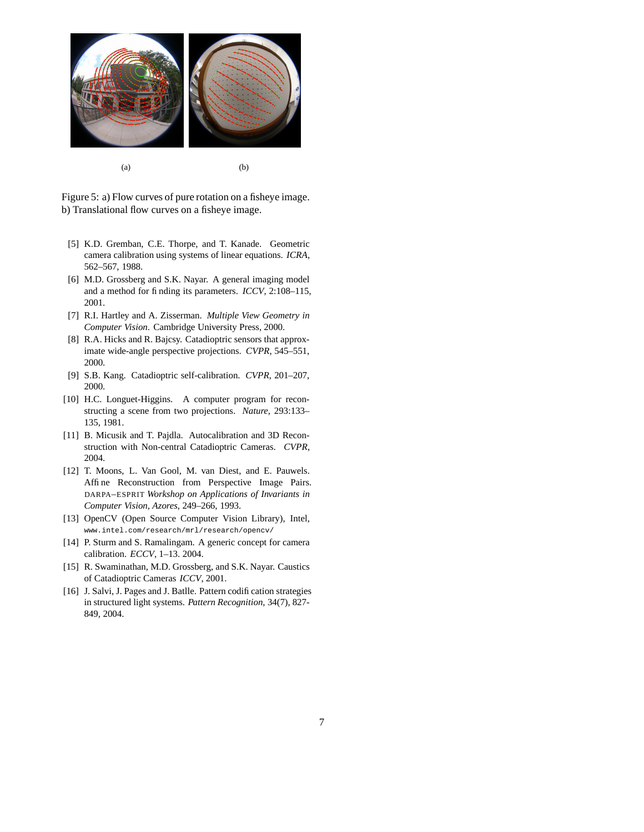

Figure 5: a) Flow curves of pure rotation on a fisheye image. b) Translational flow curves on a fisheye image.

- [5] K.D. Gremban, C.E. Thorpe, and T. Kanade. Geometric camera calibration using systems of linear equations. *ICRA*, 562–567, 1988.
- [6] M.D. Grossberg and S.K. Nayar. A general imaging model and a method for finding its parameters. *ICCV*, 2:108–115, 2001.
- [7] R.I. Hartley and A. Zisserman. *Multiple View Geometry in Computer Vision*. Cambridge University Press, 2000.
- [8] R.A. Hicks and R. Bajcsy. Catadioptric sensors that approximate wide-angle perspective projections. *CVPR*, 545–551, 2000.
- [9] S.B. Kang. Catadioptric self-calibration. *CVPR*, 201–207, 2000.
- [10] H.C. Longuet-Higgins. A computer program for reconstructing a scene from two projections. *Nature*, 293:133– 135, 1981.
- [11] B. Micusik and T. Pajdla. Autocalibration and 3D Reconstruction with Non-central Catadioptric Cameras. *CVPR*, 2004.
- [12] T. Moons, L. Van Gool, M. van Diest, and E. Pauwels. Affine Reconstruction from Perspective Image Pairs. DARPA–ESPRIT *Workshop on Applications of Invariants in Computer Vision, Azores*, 249–266, 1993.
- [13] OpenCV (Open Source Computer Vision Library), Intel, www.intel.com/research/mrl/research/opencv/
- [14] P. Sturm and S. Ramalingam. A generic concept for camera calibration. *ECCV*, 1–13. 2004.
- [15] R. Swaminathan, M.D. Grossberg, and S.K. Nayar. Caustics of Catadioptric Cameras *ICCV*, 2001.
- [16] J. Salvi, J. Pages and J. Batlle. Pattern codification strategies in structured light systems. *Pattern Recognition*, 34(7), 827- 849, 2004.